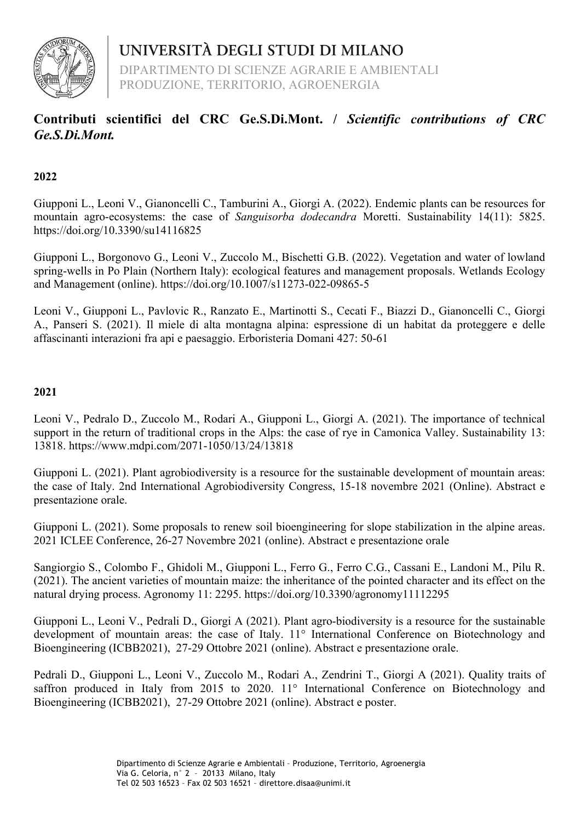

DIPARTIMENTO DI SCIENZE AGRARIE E AMBIENTALI PRODUZIONE, TERRITORIO, AGROENERGIA

## **Contributi scientifici del CRC Ge.S.Di.Mont. /** *Scientific contributions of CRC Ge.S.Di.Mont.*

### **2022**

Giupponi L., Leoni V., Gianoncelli C., Tamburini A., Giorgi A. (2022). Endemic plants can be resources for mountain agro-ecosystems: the case of *Sanguisorba dodecandra* Moretti. Sustainability 14(11): 5825. https://doi.org/10.3390/su14116825

Giupponi L., Borgonovo G., Leoni V., Zuccolo M., Bischetti G.B. (2022). Vegetation and water of lowland spring-wells in Po Plain (Northern Italy): ecological features and management proposals. Wetlands Ecology and Management (online). https://doi.org/10.1007/s11273-022-09865-5

Leoni V., Giupponi L., Pavlovic R., Ranzato E., Martinotti S., Cecati F., Biazzi D., Gianoncelli C., Giorgi A., Panseri S. (2021). Il miele di alta montagna alpina: espressione di un habitat da proteggere e delle affascinanti interazioni fra api e paesaggio. Erboristeria Domani 427: 50-61

#### **2021**

Leoni V., Pedralo D., Zuccolo M., Rodari A., Giupponi L., Giorgi A. (2021). The importance of technical support in the return of traditional crops in the Alps: the case of rye in Camonica Valley. Sustainability 13: 13818. https://www.mdpi.com/2071-1050/13/24/13818

Giupponi L. (2021). Plant agrobiodiversity is a resource for the sustainable development of mountain areas: the case of Italy. 2nd International Agrobiodiversity Congress, 15-18 novembre 2021 (Online). Abstract e presentazione orale.

Giupponi L. (2021). Some proposals to renew soil bioengineering for slope stabilization in the alpine areas. 2021 ICLEE Conference, 26-27 Novembre 2021 (online). Abstract e presentazione orale

Sangiorgio S., Colombo F., Ghidoli M., Giupponi L., Ferro G., Ferro C.G., Cassani E., Landoni M., Pilu R. (2021). The ancient varieties of mountain maize: the inheritance of the pointed character and its effect on the natural drying process. Agronomy 11: 2295. https://doi.org/10.3390/agronomy11112295

Giupponi L., Leoni V., Pedrali D., Giorgi A (2021). Plant agro-biodiversity is a resource for the sustainable development of mountain areas: the case of Italy. 11° International Conference on Biotechnology and Bioengineering (ICBB2021), 27-29 Ottobre 2021 (online). Abstract e presentazione orale.

Pedrali D., Giupponi L., Leoni V., Zuccolo M., Rodari A., Zendrini T., Giorgi A (2021). Quality traits of saffron produced in Italy from 2015 to 2020. 11° International Conference on Biotechnology and Bioengineering (ICBB2021), 27-29 Ottobre 2021 (online). Abstract e poster.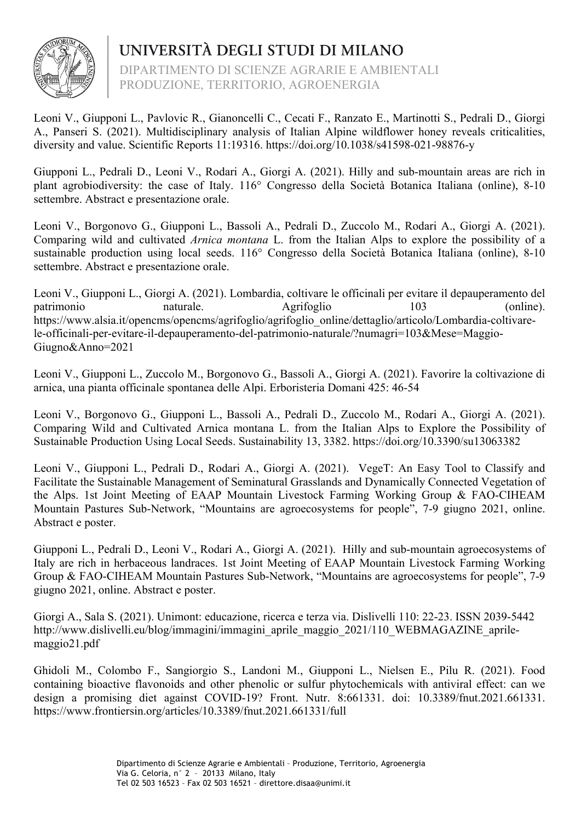

DIPARTIMENTO DI SCIENZE AGRARIE E AMBIENTALI PRODUZIONE, TERRITORIO, AGROENERGIA

Leoni V., Giupponi L., Pavlovic R., Gianoncelli C., Cecati F., Ranzato E., Martinotti S., Pedrali D., Giorgi A., Panseri S. (2021). Multidisciplinary analysis of Italian Alpine wildflower honey reveals criticalities, diversity and value. Scientific Reports 11:19316. https://doi.org/10.1038/s41598-021-98876-y

Giupponi L., Pedrali D., Leoni V., Rodari A., Giorgi A. (2021). Hilly and sub-mountain areas are rich in plant agrobiodiversity: the case of Italy. 116° Congresso della Società Botanica Italiana (online), 8-10 settembre. Abstract e presentazione orale.

Leoni V., Borgonovo G., Giupponi L., Bassoli A., Pedrali D., Zuccolo M., Rodari A., Giorgi A. (2021). Comparing wild and cultivated *Arnica montana* L. from the Italian Alps to explore the possibility of a sustainable production using local seeds. 116° Congresso della Società Botanica Italiana (online), 8-10 settembre. Abstract e presentazione orale.

Leoni V., Giupponi L., Giorgi A. (2021). Lombardia, coltivare le officinali per evitare il depauperamento del patrimonio naturale. Agrifoglio 103 (online). https://www.alsia.it/opencms/opencms/agrifoglio/agrifoglio\_online/dettaglio/articolo/Lombardia-coltivarele-officinali-per-evitare-il-depauperamento-del-patrimonio-naturale/?numagri=103&Mese=Maggio-Giugno&Anno=2021

Leoni V., Giupponi L., Zuccolo M., Borgonovo G., Bassoli A., Giorgi A. (2021). Favorire la coltivazione di arnica, una pianta officinale spontanea delle Alpi. Erboristeria Domani 425: 46-54

Leoni V., Borgonovo G., Giupponi L., Bassoli A., Pedrali D., Zuccolo M., Rodari A., Giorgi A. (2021). Comparing Wild and Cultivated Arnica montana L. from the Italian Alps to Explore the Possibility of Sustainable Production Using Local Seeds. Sustainability 13, 3382. https://doi.org/10.3390/su13063382

Leoni V., Giupponi L., Pedrali D., Rodari A., Giorgi A. (2021). VegeT: An Easy Tool to Classify and Facilitate the Sustainable Management of Seminatural Grasslands and Dynamically Connected Vegetation of the Alps. 1st Joint Meeting of EAAP Mountain Livestock Farming Working Group & FAO-CIHEAM Mountain Pastures Sub-Network, "Mountains are agroecosystems for people", 7-9 giugno 2021, online. Abstract e poster.

Giupponi L., Pedrali D., Leoni V., Rodari A., Giorgi A. (2021). Hilly and sub-mountain agroecosystems of Italy are rich in herbaceous landraces. 1st Joint Meeting of EAAP Mountain Livestock Farming Working Group & FAO-CIHEAM Mountain Pastures Sub-Network, "Mountains are agroecosystems for people", 7-9 giugno 2021, online. Abstract e poster.

Giorgi A., Sala S. (2021). Unimont: educazione, ricerca e terza via. Dislivelli 110: 22-23. ISSN 2039-5442 http://www.dislivelli.eu/blog/immagini/immagini\_aprile\_maggio\_2021/110\_WEBMAGAZINE\_aprilemaggio21.pdf

Ghidoli M., Colombo F., Sangiorgio S., Landoni M., Giupponi L., Nielsen E., Pilu R. (2021). Food containing bioactive flavonoids and other phenolic or sulfur phytochemicals with antiviral effect: can we design a promising diet against COVID-19? Front. Nutr. 8:661331. doi: 10.3389/fnut.2021.661331. https://www.frontiersin.org/articles/10.3389/fnut.2021.661331/full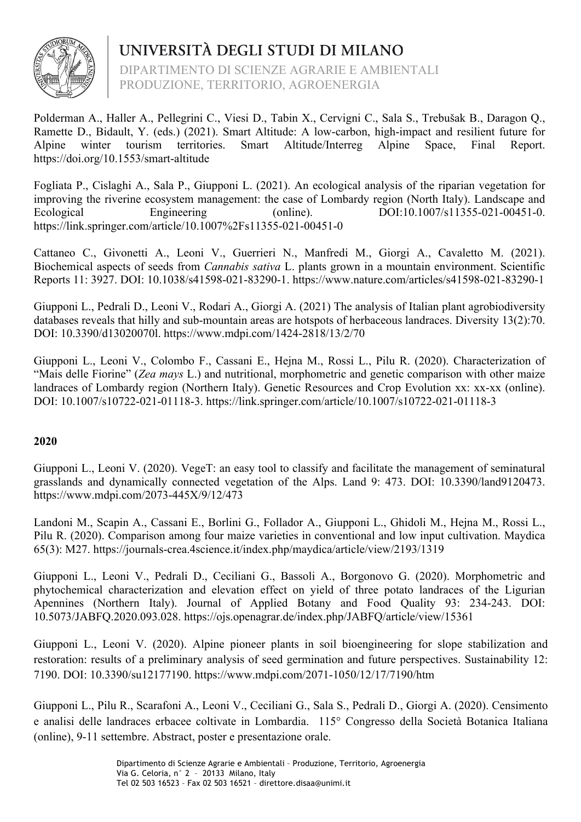

DIPARTIMENTO DI SCIENZE AGRARIE E AMBIENTALI PRODUZIONE, TERRITORIO, AGROENERGIA

Polderman A., Haller A., Pellegrini C., Viesi D., Tabin X., Cervigni C., Sala S., Trebušak B., Daragon Q., Ramette D., Bidault, Y. (eds.) (2021). Smart Altitude: A low-carbon, high-impact and resilient future for Alpine winter tourism territories. Smart Altitude/Interreg Alpine Space, Final Report. https://doi.org/10.1553/smart-altitude

Fogliata P., Cislaghi A., Sala P., Giupponi L. (2021). An ecological analysis of the riparian vegetation for improving the riverine ecosystem management: the case of Lombardy region (North Italy). Landscape and Ecological Engineering (online). DOI:10.1007/s11355-021-00451-0. https://link.springer.com/article/10.1007%2Fs11355-021-00451-0

Cattaneo C., Givonetti A., Leoni V., Guerrieri N., Manfredi M., Giorgi A., Cavaletto M. (2021). Biochemical aspects of seeds from *Cannabis sativa* L. plants grown in a mountain environment. Scientific Reports 11: 3927. DOI: 10.1038/s41598-021-83290-1. https://www.nature.com/articles/s41598-021-83290-1

Giupponi L., Pedrali D., Leoni V., Rodari A., Giorgi A. (2021) The analysis of Italian plant agrobiodiversity databases reveals that hilly and sub-mountain areas are hotspots of herbaceous landraces. Diversity 13(2):70. DOI: 10.3390/d13020070l. https://www.mdpi.com/1424-2818/13/2/70

Giupponi L., Leoni V., Colombo F., Cassani E., Hejna M., Rossi L., Pilu R. (2020). Characterization of "Mais delle Fiorine" (*Zea mays* L.) and nutritional, morphometric and genetic comparison with other maize landraces of Lombardy region (Northern Italy). Genetic Resources and Crop Evolution xx: xx-xx (online). DOI: 10.1007/s10722-021-01118-3. https://link.springer.com/article/10.1007/s10722-021-01118-3

## **2020**

Giupponi L., Leoni V. (2020). VegeT: an easy tool to classify and facilitate the management of seminatural grasslands and dynamically connected vegetation of the Alps. Land 9: 473. DOI: 10.3390/land9120473. https://www.mdpi.com/2073-445X/9/12/473

Landoni M., Scapin A., Cassani E., Borlini G., Follador A., Giupponi L., Ghidoli M., Hejna M., Rossi L., Pilu R. (2020). Comparison among four maize varieties in conventional and low input cultivation. Maydica 65(3): M27. https://journals-crea.4science.it/index.php/maydica/article/view/2193/1319

Giupponi L., Leoni V., Pedrali D., Ceciliani G., Bassoli A., Borgonovo G. (2020). Morphometric and phytochemical characterization and elevation effect on yield of three potato landraces of the Ligurian Apennines (Northern Italy). Journal of Applied Botany and Food Quality 93: 234-243. DOI: 10.5073/JABFQ.2020.093.028. https://ojs.openagrar.de/index.php/JABFQ/article/view/15361

Giupponi L., Leoni V. (2020). Alpine pioneer plants in soil bioengineering for slope stabilization and restoration: results of a preliminary analysis of seed germination and future perspectives. Sustainability 12: 7190. DOI: 10.3390/su12177190. https://www.mdpi.com/2071-1050/12/17/7190/htm

Giupponi L., Pilu R., Scarafoni A., Leoni V., Ceciliani G., Sala S., Pedrali D., Giorgi A. (2020). Censimento e analisi delle landraces erbacee coltivate in Lombardia. 115° Congresso della Società Botanica Italiana (online), 9-11 settembre. Abstract, poster e presentazione orale.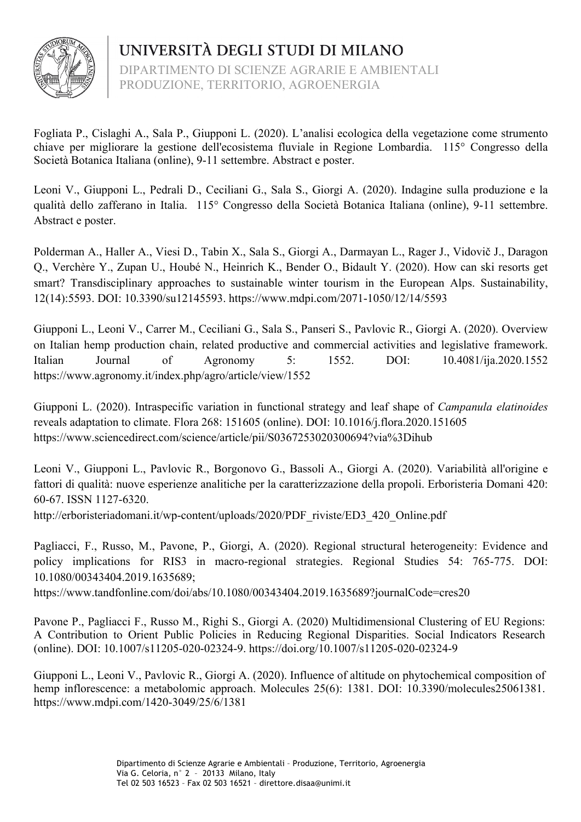

UNIVERSITÀ DEGLI STUDI DI MILANO DIPARTIMENTO DI SCIENZE AGRARIE E AMBIENTALI PRODUZIONE, TERRITORIO, AGROENERGIA

Fogliata P., Cislaghi A., Sala P., Giupponi L. (2020). L'analisi ecologica della vegetazione come strumento chiave per migliorare la gestione dell'ecosistema fluviale in Regione Lombardia. 115° Congresso della Società Botanica Italiana (online), 9-11 settembre. Abstract e poster.

Leoni V., Giupponi L., Pedrali D., Ceciliani G., Sala S., Giorgi A. (2020). Indagine sulla produzione e la qualità dello zafferano in Italia. 115° Congresso della Società Botanica Italiana (online), 9-11 settembre. Abstract e poster.

Polderman A., Haller A., Viesi D., Tabin X., Sala S., Giorgi A., Darmayan L., Rager J., Vidovič J., Daragon Q., Verchère Y., Zupan U., Houbé N., Heinrich K., Bender O., Bidault Y. (2020). How can ski resorts get smart? Transdisciplinary approaches to sustainable winter tourism in the European Alps. Sustainability, 12(14):5593. DOI: 10.3390/su12145593. https://www.mdpi.com/2071-1050/12/14/5593

Giupponi L., Leoni V., Carrer M., Ceciliani G., Sala S., Panseri S., Pavlovic R., Giorgi A. (2020). Overview on Italian hemp production chain, related productive and commercial activities and legislative framework. Italian Journal of Agronomy 5: 1552. DOI: 10.4081/ija.2020.1552 https://www.agronomy.it/index.php/agro/article/view/1552

Giupponi L. (2020). Intraspecific variation in functional strategy and leaf shape of *Campanula elatinoides* reveals adaptation to climate. Flora 268: 151605 (online). DOI: 10.1016/j.flora.2020.151605 https://www.sciencedirect.com/science/article/pii/S0367253020300694?via%3Dihub

Leoni V., Giupponi L., Pavlovic R., Borgonovo G., Bassoli A., Giorgi A. (2020). Variabilità all'origine e fattori di qualità: nuove esperienze analitiche per la caratterizzazione della propoli. Erboristeria Domani 420: 60-67. ISSN 1127-6320.

http://erboristeriadomani.it/wp-content/uploads/2020/PDF\_riviste/ED3\_420\_Online.pdf

Pagliacci, F., Russo, M., Pavone, P., Giorgi, A. (2020). Regional structural heterogeneity: Evidence and policy implications for RIS3 in macro-regional strategies. Regional Studies 54: 765-775. DOI: 10.1080/00343404.2019.1635689;

https://www.tandfonline.com/doi/abs/10.1080/00343404.2019.1635689?journalCode=cres20

Pavone P., Pagliacci F., Russo M., Righi S., Giorgi A. (2020) Multidimensional Clustering of EU Regions: A Contribution to Orient Public Policies in Reducing Regional Disparities. Social Indicators Research (online). DOI: 10.1007/s11205-020-02324-9. https://doi.org/10.1007/s11205-020-02324-9

Giupponi L., Leoni V., Pavlovic R., Giorgi A. (2020). Influence of altitude on phytochemical composition of hemp inflorescence: a metabolomic approach. Molecules 25(6): 1381. DOI: 10.3390/molecules25061381. https://www.mdpi.com/1420-3049/25/6/1381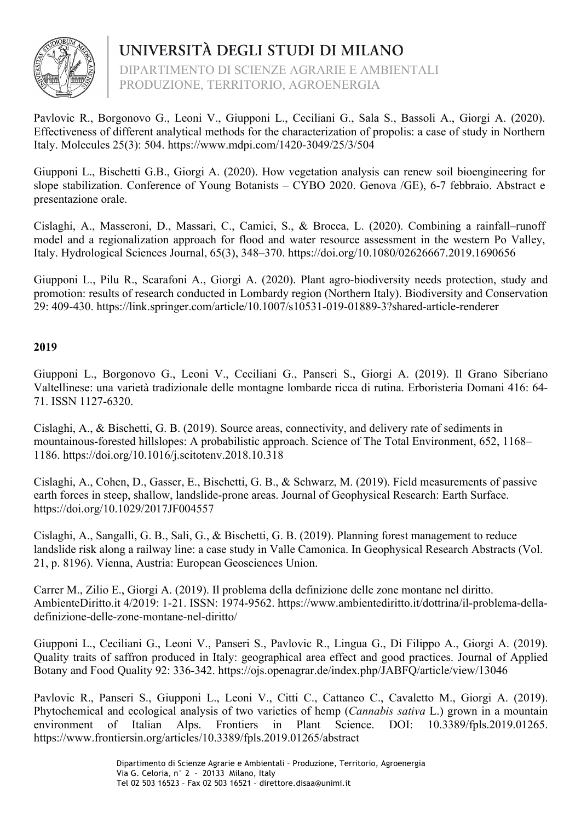

DIPARTIMENTO DI SCIENZE AGRARIE E AMBIENTALI PRODUZIONE, TERRITORIO, AGROENERGIA

Pavlovic R., Borgonovo G., Leoni V., Giupponi L., Ceciliani G., Sala S., Bassoli A., Giorgi A. (2020). Effectiveness of different analytical methods for the characterization of propolis: a case of study in Northern Italy. Molecules 25(3): 504. https://www.mdpi.com/1420-3049/25/3/504

Giupponi L., Bischetti G.B., Giorgi A. (2020). How vegetation analysis can renew soil bioengineering for slope stabilization. Conference of Young Botanists – CYBO 2020. Genova /GE), 6-7 febbraio. Abstract e presentazione orale.

Cislaghi, A., Masseroni, D., Massari, C., Camici, S., & Brocca, L. (2020). Combining a rainfall–runoff model and a regionalization approach for flood and water resource assessment in the western Po Valley, Italy. Hydrological Sciences Journal, 65(3), 348–370. https://doi.org/10.1080/02626667.2019.1690656

Giupponi L., Pilu R., Scarafoni A., Giorgi A. (2020). Plant agro-biodiversity needs protection, study and promotion: results of research conducted in Lombardy region (Northern Italy). Biodiversity and Conservation 29: 409-430. https://link.springer.com/article/10.1007/s10531-019-01889-3?shared-article-renderer

## **2019**

Giupponi L., Borgonovo G., Leoni V., Ceciliani G., Panseri S., Giorgi A. (2019). Il Grano Siberiano Valtellinese: una varietà tradizionale delle montagne lombarde ricca di rutina. Erboristeria Domani 416: 64- 71. ISSN 1127-6320.

Cislaghi, A., & Bischetti, G. B. (2019). Source areas, connectivity, and delivery rate of sediments in mountainous-forested hillslopes: A probabilistic approach. Science of The Total Environment, 652, 1168– 1186. https://doi.org/10.1016/j.scitotenv.2018.10.318

Cislaghi, A., Cohen, D., Gasser, E., Bischetti, G. B., & Schwarz, M. (2019). Field measurements of passive earth forces in steep, shallow, landslide-prone areas. Journal of Geophysical Research: Earth Surface. https://doi.org/10.1029/2017JF004557

Cislaghi, A., Sangalli, G. B., Sali, G., & Bischetti, G. B. (2019). Planning forest management to reduce landslide risk along a railway line: a case study in Valle Camonica. In Geophysical Research Abstracts (Vol. 21, p. 8196). Vienna, Austria: European Geosciences Union.

Carrer M., Zilio E., Giorgi A. (2019). Il problema della definizione delle zone montane nel diritto. AmbienteDiritto.it 4/2019: 1-21. ISSN: 1974-9562. https://www.ambientediritto.it/dottrina/il-problema-delladefinizione-delle-zone-montane-nel-diritto/

Giupponi L., Ceciliani G., Leoni V., Panseri S., Pavlovic R., Lingua G., Di Filippo A., Giorgi A. (2019). Quality traits of saffron produced in Italy: geographical area effect and good practices. Journal of Applied Botany and Food Quality 92: 336-342. https://ojs.openagrar.de/index.php/JABFQ/article/view/13046

Pavlovic R., Panseri S., Giupponi L., Leoni V., Citti C., Cattaneo C., Cavaletto M., Giorgi A. (2019). Phytochemical and ecological analysis of two varieties of hemp (*Cannabis sativa* L.) grown in a mountain environment of Italian Alps. Frontiers in Plant Science. DOI: 10.3389/fpls.2019.01265. https://www.frontiersin.org/articles/10.3389/fpls.2019.01265/abstract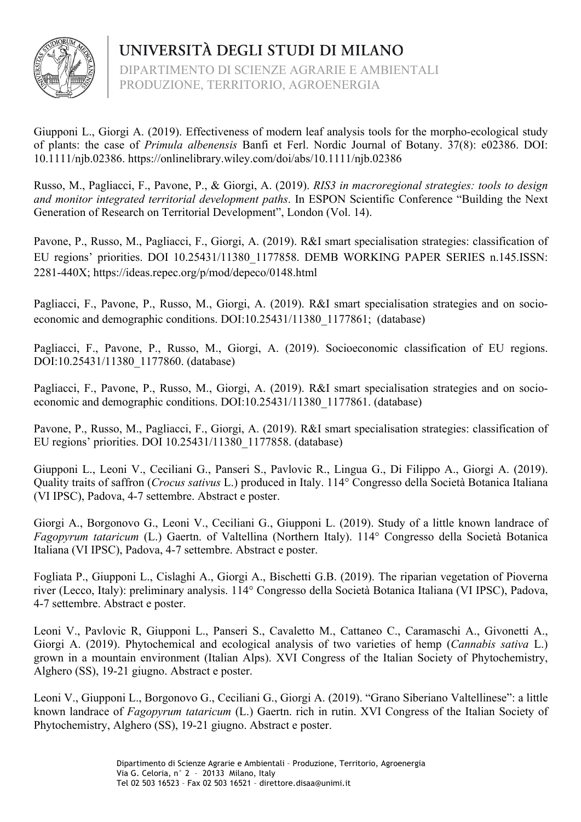

DIPARTIMENTO DI SCIENZE AGRARIE E AMBIENTALI PRODUZIONE, TERRITORIO, AGROENERGIA

Giupponi L., Giorgi A. (2019). Effectiveness of modern leaf analysis tools for the morpho-ecological study of plants: the case of *Primula albenensis* Banfi et Ferl. Nordic Journal of Botany. 37(8): e02386. DOI: 10.1111/njb.02386. https://onlinelibrary.wiley.com/doi/abs/10.1111/njb.02386

Russo, M., Pagliacci, F., Pavone, P., & Giorgi, A. (2019). *RIS3 in macroregional strategies: tools to design and monitor integrated territorial development paths*. In ESPON Scientific Conference "Building the Next Generation of Research on Territorial Development", London (Vol. 14).

Pavone, P., Russo, M., Pagliacci, F., Giorgi, A. (2019). R&I smart specialisation strategies: classification of EU regions' priorities. DOI 10.25431/11380\_1177858. DEMB WORKING PAPER SERIES n.145.ISSN: 2281-440X; https://ideas.repec.org/p/mod/depeco/0148.html

Pagliacci, F., Pavone, P., Russo, M., Giorgi, A. (2019). R&I smart specialisation strategies and on socioeconomic and demographic conditions. DOI:10.25431/11380\_1177861; (database)

Pagliacci, F., Pavone, P., Russo, M., Giorgi, A. (2019). Socioeconomic classification of EU regions. DOI:10.25431/11380 1177860. (database)

Pagliacci, F., Pavone, P., Russo, M., Giorgi, A. (2019). R&I smart specialisation strategies and on socioeconomic and demographic conditions. DOI:10.25431/11380\_1177861. (database)

Pavone, P., Russo, M., Pagliacci, F., Giorgi, A. (2019). R&I smart specialisation strategies: classification of EU regions' priorities. DOI 10.25431/11380\_1177858. (database)

Giupponi L., Leoni V., Ceciliani G., Panseri S., Pavlovic R., Lingua G., Di Filippo A., Giorgi A. (2019). Quality traits of saffron (*Crocus sativus* L.) produced in Italy. 114° Congresso della Società Botanica Italiana (VI IPSC), Padova, 4-7 settembre. Abstract e poster.

Giorgi A., Borgonovo G., Leoni V., Ceciliani G., Giupponi L. (2019). Study of a little known landrace of *Fagopyrum tataricum* (L.) Gaertn. of Valtellina (Northern Italy). 114° Congresso della Società Botanica Italiana (VI IPSC), Padova, 4-7 settembre. Abstract e poster.

Fogliata P., Giupponi L., Cislaghi A., Giorgi A., Bischetti G.B. (2019). The riparian vegetation of Pioverna river (Lecco, Italy): preliminary analysis. 114° Congresso della Società Botanica Italiana (VI IPSC), Padova, 4-7 settembre. Abstract e poster.

Leoni V., Pavlovic R, Giupponi L., Panseri S., Cavaletto M., Cattaneo C., Caramaschi A., Givonetti A., Giorgi A. (2019). Phytochemical and ecological analysis of two varieties of hemp (*Cannabis sativa* L.) grown in a mountain environment (Italian Alps). XVI Congress of the Italian Society of Phytochemistry, Alghero (SS), 19-21 giugno. Abstract e poster.

Leoni V., Giupponi L., Borgonovo G., Ceciliani G., Giorgi A. (2019). "Grano Siberiano Valtellinese": a little known landrace of *Fagopyrum tataricum* (L.) Gaertn. rich in rutin. XVI Congress of the Italian Society of Phytochemistry, Alghero (SS), 19-21 giugno. Abstract e poster.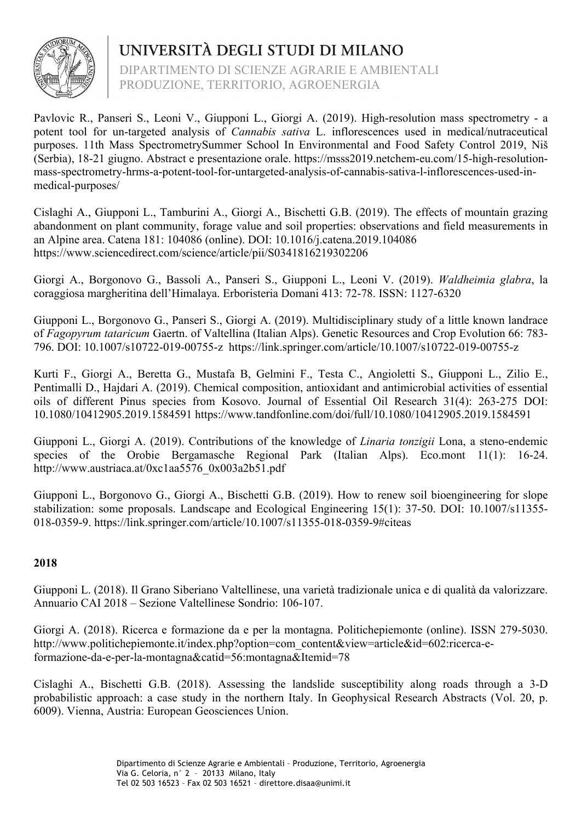

DIPARTIMENTO DI SCIENZE AGRARIE E AMBIENTALI PRODUZIONE, TERRITORIO, AGROENERGIA

Pavlovic R., Panseri S., Leoni V., Giupponi L., Giorgi A. (2019). High-resolution mass spectrometry - a potent tool for un-targeted analysis of *Cannabis sativa* L. inflorescences used in medical/nutraceutical purposes. 11th Mass SpectrometrySummer School In Environmental and Food Safety Control 2019, Niš (Serbia), 18-21 giugno. Abstract e presentazione orale. https://msss2019.netchem-eu.com/15-high-resolutionmass-spectrometry-hrms-a-potent-tool-for-untargeted-analysis-of-cannabis-sativa-l-inflorescences-used-inmedical-purposes/

Cislaghi A., Giupponi L., Tamburini A., Giorgi A., Bischetti G.B. (2019). The effects of mountain grazing abandonment on plant community, forage value and soil properties: observations and field measurements in an Alpine area. Catena 181: 104086 (online). DOI: 10.1016/j.catena.2019.104086 https://www.sciencedirect.com/science/article/pii/S0341816219302206

Giorgi A., Borgonovo G., Bassoli A., Panseri S., Giupponi L., Leoni V. (2019). *Waldheimia glabra*, la coraggiosa margheritina dell'Himalaya. Erboristeria Domani 413: 72-78. ISSN: 1127-6320

Giupponi L., Borgonovo G., Panseri S., Giorgi A. (2019). Multidisciplinary study of a little known landrace of *Fagopyrum tataricum* Gaertn. of Valtellina (Italian Alps). Genetic Resources and Crop Evolution 66: 783- 796. DOI: 10.1007/s10722-019-00755-z https://link.springer.com/article/10.1007/s10722-019-00755-z

Kurti F., Giorgi A., Beretta G., Mustafa B, Gelmini F., Testa C., Angioletti S., Giupponi L., Zilio E., Pentimalli D., Hajdari A. (2019). Chemical composition, antioxidant and antimicrobial activities of essential oils of different Pinus species from Kosovo. Journal of Essential Oil Research 31(4): 263-275 DOI: 10.1080/10412905.2019.1584591 https://www.tandfonline.com/doi/full/10.1080/10412905.2019.1584591

Giupponi L., Giorgi A. (2019). Contributions of the knowledge of *Linaria tonzigii* Lona, a steno-endemic species of the Orobie Bergamasche Regional Park (Italian Alps). Eco.mont 11(1): 16-24. http://www.austriaca.at/0xc1aa5576\_0x003a2b51.pdf

Giupponi L., Borgonovo G., Giorgi A., Bischetti G.B. (2019). How to renew soil bioengineering for slope stabilization: some proposals. Landscape and Ecological Engineering 15(1): 37-50. DOI: 10.1007/s11355- 018-0359-9. https://link.springer.com/article/10.1007/s11355-018-0359-9#citeas

## **2018**

Giupponi L. (2018). Il Grano Siberiano Valtellinese, una varietà tradizionale unica e di qualità da valorizzare. Annuario CAI 2018 – Sezione Valtellinese Sondrio: 106-107.

Giorgi A. (2018). Ricerca e formazione da e per la montagna. Politichepiemonte (online). ISSN 279-5030. http://www.politichepiemonte.it/index.php?option=com\_content&view=article&id=602:ricerca-eformazione-da-e-per-la-montagna&catid=56:montagna&Itemid=78

Cislaghi A., Bischetti G.B. (2018). Assessing the landslide susceptibility along roads through a 3-D probabilistic approach: a case study in the northern Italy. In Geophysical Research Abstracts (Vol. 20, p. 6009). Vienna, Austria: European Geosciences Union.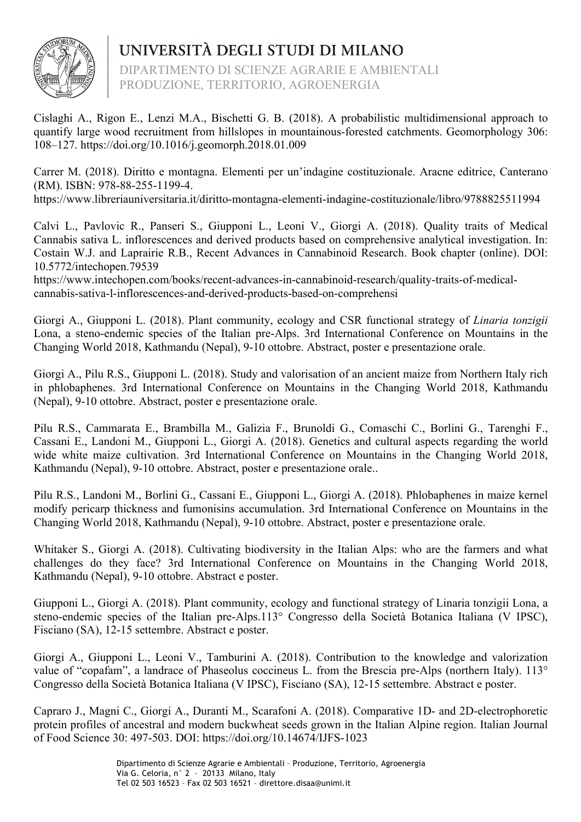

DIPARTIMENTO DI SCIENZE AGRARIE E AMBIENTALI PRODUZIONE, TERRITORIO, AGROENERGIA

Cislaghi A., Rigon E., Lenzi M.A., Bischetti G. B. (2018). A probabilistic multidimensional approach to quantify large wood recruitment from hillslopes in mountainous-forested catchments. Geomorphology 306: 108–127. https://doi.org/10.1016/j.geomorph.2018.01.009

Carrer M. (2018). Diritto e montagna. Elementi per un'indagine costituzionale. Aracne editrice, Canterano (RM). ISBN: 978-88-255-1199-4.

https://www.libreriauniversitaria.it/diritto-montagna-elementi-indagine-costituzionale/libro/9788825511994

Calvi L., Pavlovic R., Panseri S., Giupponi L., Leoni V., Giorgi A. (2018). Quality traits of Medical Cannabis sativa L. inflorescences and derived products based on comprehensive analytical investigation. In: Costain W.J. and Laprairie R.B., Recent Advances in Cannabinoid Research. Book chapter (online). DOI: 10.5772/intechopen.79539

https://www.intechopen.com/books/recent-advances-in-cannabinoid-research/quality-traits-of-medicalcannabis-sativa-l-inflorescences-and-derived-products-based-on-comprehensi

Giorgi A., Giupponi L. (2018). Plant community, ecology and CSR functional strategy of *Linaria tonzigii* Lona, a steno-endemic species of the Italian pre-Alps. 3rd International Conference on Mountains in the Changing World 2018, Kathmandu (Nepal), 9-10 ottobre. Abstract, poster e presentazione orale.

Giorgi A., Pilu R.S., Giupponi L. (2018). Study and valorisation of an ancient maize from Northern Italy rich in phlobaphenes. 3rd International Conference on Mountains in the Changing World 2018, Kathmandu (Nepal), 9-10 ottobre. Abstract, poster e presentazione orale.

Pilu R.S., Cammarata E., Brambilla M., Galizia F., Brunoldi G., Comaschi C., Borlini G., Tarenghi F., Cassani E., Landoni M., Giupponi L., Giorgi A. (2018). Genetics and cultural aspects regarding the world wide white maize cultivation. 3rd International Conference on Mountains in the Changing World 2018, Kathmandu (Nepal), 9-10 ottobre. Abstract, poster e presentazione orale..

Pilu R.S., Landoni M., Borlini G., Cassani E., Giupponi L., Giorgi A. (2018). Phlobaphenes in maize kernel modify pericarp thickness and fumonisins accumulation. 3rd International Conference on Mountains in the Changing World 2018, Kathmandu (Nepal), 9-10 ottobre. Abstract, poster e presentazione orale.

Whitaker S., Giorgi A. (2018). Cultivating biodiversity in the Italian Alps: who are the farmers and what challenges do they face? 3rd International Conference on Mountains in the Changing World 2018, Kathmandu (Nepal), 9-10 ottobre. Abstract e poster.

Giupponi L., Giorgi A. (2018). Plant community, ecology and functional strategy of Linaria tonzigii Lona, a steno-endemic species of the Italian pre-Alps.113° Congresso della Società Botanica Italiana (V IPSC), Fisciano (SA), 12-15 settembre. Abstract e poster.

Giorgi A., Giupponi L., Leoni V., Tamburini A. (2018). Contribution to the knowledge and valorization value of "copafam", a landrace of Phaseolus coccineus L. from the Brescia pre-Alps (northern Italy). 113° Congresso della Società Botanica Italiana (V IPSC), Fisciano (SA), 12-15 settembre. Abstract e poster.

Capraro J., Magni C., Giorgi A., Duranti M., Scarafoni A. (2018). Comparative 1D- and 2D-electrophoretic protein profiles of ancestral and modern buckwheat seeds grown in the Italian Alpine region. Italian Journal of Food Science 30: 497-503. DOI: https://doi.org/10.14674/IJFS-1023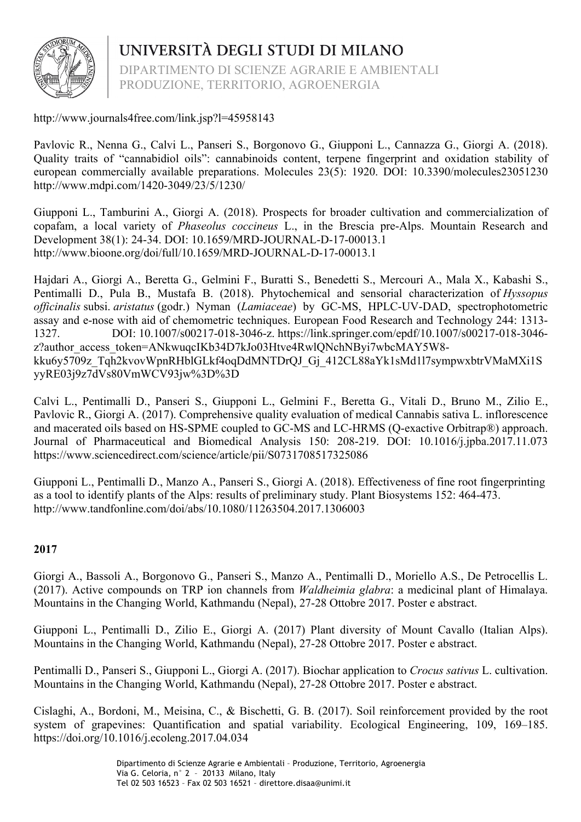

UNIVERSITÀ DEGLI STUDI DI MILANO DIPARTIMENTO DI SCIENZE AGRARIE E AMBIENTALI

PRODUZIONE, TERRITORIO, AGROENERGIA

http://www.journals4free.com/link.jsp?l=45958143

Pavlovic R., Nenna G., Calvi L., Panseri S., Borgonovo G., Giupponi L., Cannazza G., Giorgi A. (2018). Quality traits of "cannabidiol oils": cannabinoids content, terpene fingerprint and oxidation stability of european commercially available preparations. Molecules 23(5): 1920. DOI: 10.3390/molecules23051230 http://www.mdpi.com/1420-3049/23/5/1230/

Giupponi L., Tamburini A., Giorgi A. (2018). Prospects for broader cultivation and commercialization of copafam, a local variety of *Phaseolus coccineus* L., in the Brescia pre-Alps. Mountain Research and Development 38(1): 24-34. DOI: 10.1659/MRD-JOURNAL-D-17-00013.1 http://www.bioone.org/doi/full/10.1659/MRD-JOURNAL-D-17-00013.1

Hajdari A., Giorgi A., Beretta G., Gelmini F., Buratti S., Benedetti S., Mercouri A., Mala X., Kabashi S., Pentimalli D., Pula B., Mustafa B. (2018). Phytochemical and sensorial characterization of *Hyssopus officinalis* subsi. *aristatus* (godr.) Nyman (*Lamiaceae*) by GC-MS, HPLC-UV-DAD, spectrophotometric assay and e-nose with aid of chemometric techniques. European Food Research and Technology 244: 1313- 1327. DOI: 10.1007/s00217-018-3046-z. https://link.springer.com/epdf/10.1007/s00217-018-3046 z?author\_access\_token=ANkwuqcIKb34D7kJo03Htve4RwlQNchNByi7wbcMAY5W8kku6y5709z\_Tqh2kvovWpnRHblGLkf4oqDdMNTDrQJ\_Gj\_412CL88aYk1sMd1l7sympwxbtrVMaMXi1S yyRE03j9z7dVs80VmWCV93jw%3D%3D

Calvi L., Pentimalli D., Panseri S., Giupponi L., Gelmini F., Beretta G., Vitali D., Bruno M., Zilio E., Pavlovic R., Giorgi A. (2017). Comprehensive quality evaluation of medical Cannabis sativa L. inflorescence and macerated oils based on HS-SPME coupled to GC-MS and LC-HRMS (Q-exactive Orbitrap®) approach. Journal of Pharmaceutical and Biomedical Analysis 150: 208-219. DOI: 10.1016/j.jpba.2017.11.073 https://www.sciencedirect.com/science/article/pii/S0731708517325086

Giupponi L., Pentimalli D., Manzo A., Panseri S., Giorgi A. (2018). Effectiveness of fine root fingerprinting as a tool to identify plants of the Alps: results of preliminary study. Plant Biosystems 152: 464-473. http://www.tandfonline.com/doi/abs/10.1080/11263504.2017.1306003

## **2017**

Giorgi A., Bassoli A., Borgonovo G., Panseri S., Manzo A., Pentimalli D., Moriello A.S., De Petrocellis L. (2017). Active compounds on TRP ion channels from *Waldheimia glabra*: a medicinal plant of Himalaya. Mountains in the Changing World, Kathmandu (Nepal), 27-28 Ottobre 2017. Poster e abstract.

Giupponi L., Pentimalli D., Zilio E., Giorgi A. (2017) Plant diversity of Mount Cavallo (Italian Alps). Mountains in the Changing World, Kathmandu (Nepal), 27-28 Ottobre 2017. Poster e abstract.

Pentimalli D., Panseri S., Giupponi L., Giorgi A. (2017). Biochar application to *Crocus sativus* L. cultivation. Mountains in the Changing World, Kathmandu (Nepal), 27-28 Ottobre 2017. Poster e abstract.

Cislaghi, A., Bordoni, M., Meisina, C., & Bischetti, G. B. (2017). Soil reinforcement provided by the root system of grapevines: Quantification and spatial variability. Ecological Engineering, 109, 169–185. https://doi.org/10.1016/j.ecoleng.2017.04.034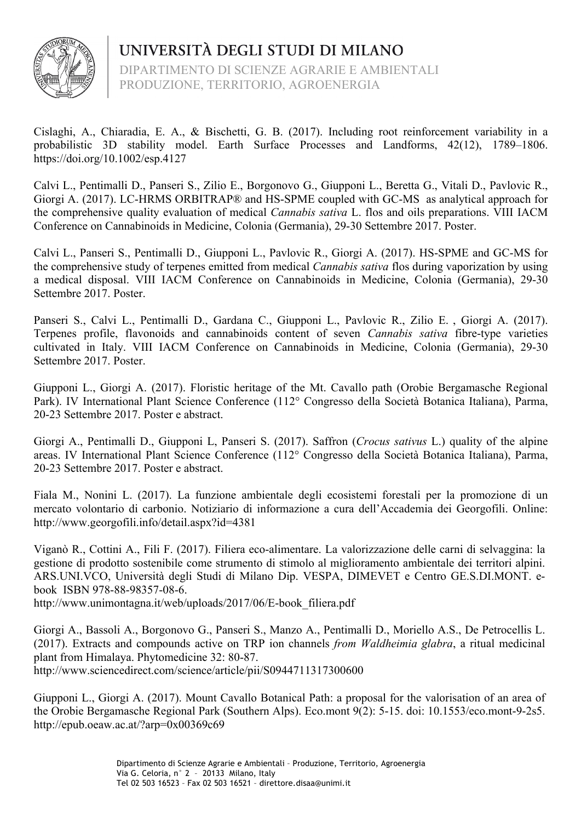

DIPARTIMENTO DI SCIENZE AGRARIE E AMBIENTALI PRODUZIONE, TERRITORIO, AGROENERGIA

Cislaghi, A., Chiaradia, E. A., & Bischetti, G. B. (2017). Including root reinforcement variability in a probabilistic 3D stability model. Earth Surface Processes and Landforms, 42(12), 1789–1806. https://doi.org/10.1002/esp.4127

Calvi L., Pentimalli D., Panseri S., Zilio E., Borgonovo G., Giupponi L., Beretta G., Vitali D., Pavlovic R., Giorgi A. (2017). LC-HRMS ORBITRAP® and HS-SPME coupled with GC-MS as analytical approach for the comprehensive quality evaluation of medical *Cannabis sativa* L. flos and oils preparations. VIII IACM Conference on Cannabinoids in Medicine, Colonia (Germania), 29-30 Settembre 2017. Poster.

Calvi L., Panseri S., Pentimalli D., Giupponi L., Pavlovic R., Giorgi A. (2017). HS-SPME and GC-MS for the comprehensive study of terpenes emitted from medical *Cannabis sativa* flos during vaporization by using a medical disposal. VIII IACM Conference on Cannabinoids in Medicine, Colonia (Germania), 29-30 Settembre 2017. Poster.

Panseri S., Calvi L., Pentimalli D., Gardana C., Giupponi L., Pavlovic R., Zilio E. , Giorgi A. (2017). Terpenes profile, flavonoids and cannabinoids content of seven *Cannabis sativa* fibre-type varieties cultivated in Italy. VIII IACM Conference on Cannabinoids in Medicine, Colonia (Germania), 29-30 Settembre 2017. Poster.

Giupponi L., Giorgi A. (2017). Floristic heritage of the Mt. Cavallo path (Orobie Bergamasche Regional Park). IV International Plant Science Conference (112° Congresso della Società Botanica Italiana), Parma, 20-23 Settembre 2017. Poster e abstract.

Giorgi A., Pentimalli D., Giupponi L, Panseri S. (2017). Saffron (*Crocus sativus* L.) quality of the alpine areas. IV International Plant Science Conference (112° Congresso della Società Botanica Italiana), Parma, 20-23 Settembre 2017. Poster e abstract.

Fiala M., Nonini L. (2017). La funzione ambientale degli ecosistemi forestali per la promozione di un mercato volontario di carbonio. Notiziario di informazione a cura dell'Accademia dei Georgofili. Online: http://www.georgofili.info/detail.aspx?id=4381

Viganò R., Cottini A., Fili F. (2017). Filiera eco-alimentare. La valorizzazione delle carni di selvaggina: la gestione di prodotto sostenibile come strumento di stimolo al miglioramento ambientale dei territori alpini. ARS.UNI.VCO, Università degli Studi di Milano Dip. VESPA, DIMEVET e Centro GE.S.DI.MONT. ebook ISBN 978-88-98357-08-6.

http://www.unimontagna.it/web/uploads/2017/06/E-book\_filiera.pdf

Giorgi A., Bassoli A., Borgonovo G., Panseri S., Manzo A., Pentimalli D., Moriello A.S., De Petrocellis L. (2017). Extracts and compounds active on TRP ion channels *from Waldheimia glabra*, a ritual medicinal plant from Himalaya. Phytomedicine 32: 80-87. http://www.sciencedirect.com/science/article/pii/S0944711317300600

Giupponi L., Giorgi A. (2017). Mount Cavallo Botanical Path: a proposal for the valorisation of an area of the Orobie Bergamasche Regional Park (Southern Alps). Eco.mont 9(2): 5-15. doi: 10.1553/eco.mont-9-2s5. http://epub.oeaw.ac.at/?arp=0x00369c69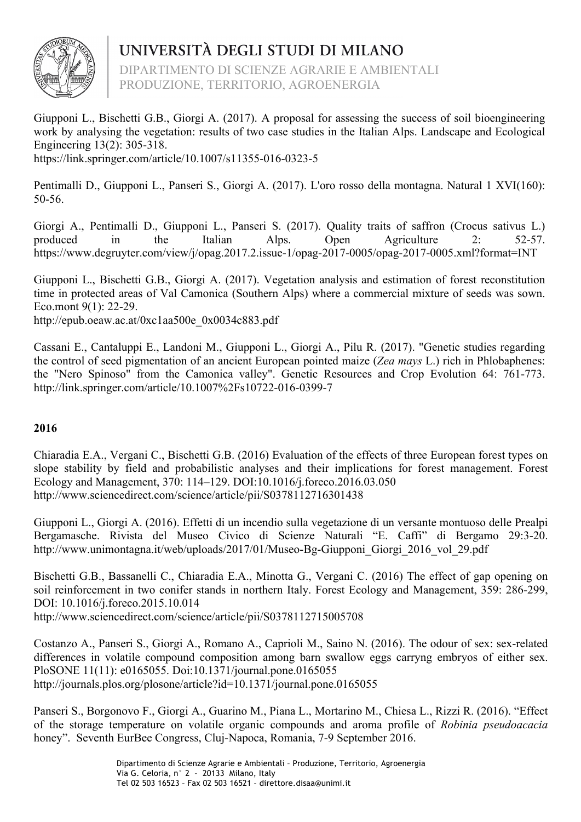

DIPARTIMENTO DI SCIENZE AGRARIE E AMBIENTALI PRODUZIONE, TERRITORIO, AGROENERGIA

Giupponi L., Bischetti G.B., Giorgi A. (2017). A proposal for assessing the success of soil bioengineering work by analysing the vegetation: results of two case studies in the Italian Alps. Landscape and Ecological Engineering 13(2): 305-318.

https://link.springer.com/article/10.1007/s11355-016-0323-5

Pentimalli D., Giupponi L., Panseri S., Giorgi A. (2017). L'oro rosso della montagna. Natural 1 XVI(160): 50-56.

Giorgi A., Pentimalli D., Giupponi L., Panseri S. (2017). Quality traits of saffron (Crocus sativus L.) produced in the Italian Alps. Open Agriculture 2: 52-57. https://www.degruyter.com/view/j/opag.2017.2.issue-1/opag-2017-0005/opag-2017-0005.xml?format=INT

Giupponi L., Bischetti G.B., Giorgi A. (2017). Vegetation analysis and estimation of forest reconstitution time in protected areas of Val Camonica (Southern Alps) where a commercial mixture of seeds was sown. Eco.mont 9(1): 22-29.

http://epub.oeaw.ac.at/0xc1aa500e\_0x0034c883.pdf

Cassani E., Cantaluppi E., Landoni M., Giupponi L., Giorgi A., Pilu R. (2017). "Genetic studies regarding the control of seed pigmentation of an ancient European pointed maize (*Zea mays* L.) rich in Phlobaphenes: the "Nero Spinoso" from the Camonica valley". Genetic Resources and Crop Evolution 64: 761-773. http://link.springer.com/article/10.1007%2Fs10722-016-0399-7

## **2016**

Chiaradia E.A., Vergani C., Bischetti G.B. (2016) Evaluation of the effects of three European forest types on slope stability by field and probabilistic analyses and their implications for forest management. Forest Ecology and Management, 370: 114–129. DOI:10.1016/j.foreco.2016.03.050 http://www.sciencedirect.com/science/article/pii/S0378112716301438

Giupponi L., Giorgi A. (2016). Effetti di un incendio sulla vegetazione di un versante montuoso delle Prealpi Bergamasche. Rivista del Museo Civico di Scienze Naturali "E. Caffi" di Bergamo 29:3-20. http://www.unimontagna.it/web/uploads/2017/01/Museo-Bg-Giupponi\_Giorgi\_2016\_vol\_29.pdf

Bischetti G.B., Bassanelli C., Chiaradia E.A., Minotta G., Vergani C. (2016) The effect of gap opening on soil reinforcement in two conifer stands in northern Italy. Forest Ecology and Management, 359: 286-299, DOI: 10.1016/j.foreco.2015.10.014 http://www.sciencedirect.com/science/article/pii/S0378112715005708

Costanzo A., Panseri S., Giorgi A., Romano A., Caprioli M., Saino N. (2016). The odour of sex: sex-related differences in volatile compound composition among barn swallow eggs carryng embryos of either sex. PloSONE 11(11): e0165055. Doi:10.1371/journal.pone.0165055 http://journals.plos.org/plosone/article?id=10.1371/journal.pone.0165055

Panseri S., Borgonovo F., Giorgi A., Guarino M., Piana L., Mortarino M., Chiesa L., Rizzi R. (2016). "Effect of the storage temperature on volatile organic compounds and aroma profile of *Robinia pseudoacacia* honey". Seventh EurBee Congress, Cluj-Napoca, Romania, 7-9 September 2016.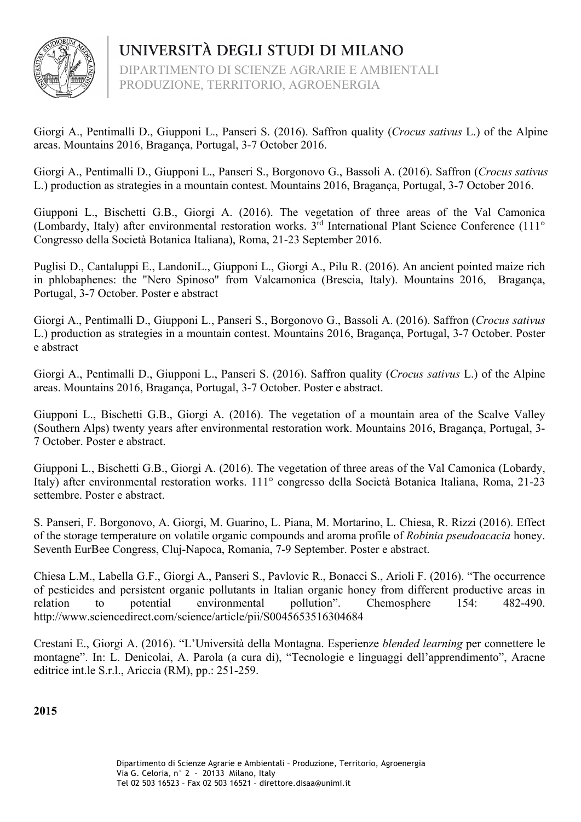

UNIVERSITÀ DEGLI STUDI DI MILANO DIPARTIMENTO DI SCIENZE AGRARIE E AMBIENTALI PRODUZIONE, TERRITORIO, AGROENERGIA

Giorgi A., Pentimalli D., Giupponi L., Panseri S. (2016). Saffron quality (*Crocus sativus* L.) of the Alpine areas. Mountains 2016, Bragança, Portugal, 3-7 October 2016.

Giorgi A., Pentimalli D., Giupponi L., Panseri S., Borgonovo G., Bassoli A. (2016). Saffron (*Crocus sativus* L.) production as strategies in a mountain contest. Mountains 2016, Bragança, Portugal, 3-7 October 2016.

Giupponi L., Bischetti G.B., Giorgi A. (2016). The vegetation of three areas of the Val Camonica (Lombardy, Italy) after environmental restoration works. 3<sup>rd</sup> International Plant Science Conference (111<sup>o</sup>) Congresso della Società Botanica Italiana), Roma, 21-23 September 2016.

Puglisi D., Cantaluppi E., LandoniL., Giupponi L., Giorgi A., Pilu R. (2016). An ancient pointed maize rich in phlobaphenes: the "Nero Spinoso" from Valcamonica (Brescia, Italy). Mountains 2016, Bragança, Portugal, 3-7 October. Poster e abstract

Giorgi A., Pentimalli D., Giupponi L., Panseri S., Borgonovo G., Bassoli A. (2016). Saffron (*Crocus sativus* L.) production as strategies in a mountain contest. Mountains 2016, Bragança, Portugal, 3-7 October. Poster e abstract

Giorgi A., Pentimalli D., Giupponi L., Panseri S. (2016). Saffron quality (*Crocus sativus* L.) of the Alpine areas. Mountains 2016, Bragança, Portugal, 3-7 October. Poster e abstract.

Giupponi L., Bischetti G.B., Giorgi A. (2016). The vegetation of a mountain area of the Scalve Valley (Southern Alps) twenty years after environmental restoration work. Mountains 2016, Bragança, Portugal, 3- 7 October. Poster e abstract.

Giupponi L., Bischetti G.B., Giorgi A. (2016). The vegetation of three areas of the Val Camonica (Lobardy, Italy) after environmental restoration works. 111° congresso della Società Botanica Italiana, Roma, 21-23 settembre. Poster e abstract.

S. Panseri, F. Borgonovo, A. Giorgi, M. Guarino, L. Piana, M. Mortarino, L. Chiesa, R. Rizzi (2016). Effect of the storage temperature on volatile organic compounds and aroma profile of *Robinia pseudoacacia* honey. Seventh EurBee Congress, Cluj-Napoca, Romania, 7-9 September. Poster e abstract.

Chiesa L.M., Labella G.F., Giorgi A., Panseri S., Pavlovic R., Bonacci S., Arioli F. (2016). "The occurrence of pesticides and persistent organic pollutants in Italian organic honey from different productive areas in relation to potential environmental pollution". Chemosphere 154: 482-490. http://www.sciencedirect.com/science/article/pii/S0045653516304684

Crestani E., Giorgi A. (2016). "L'Università della Montagna. Esperienze *blended learning* per connettere le montagne". In: L. Denicolai, A. Parola (a cura di), "Tecnologie e linguaggi dell'apprendimento", Aracne editrice int.le S.r.l., Ariccia (RM), pp.: 251-259.

**2015**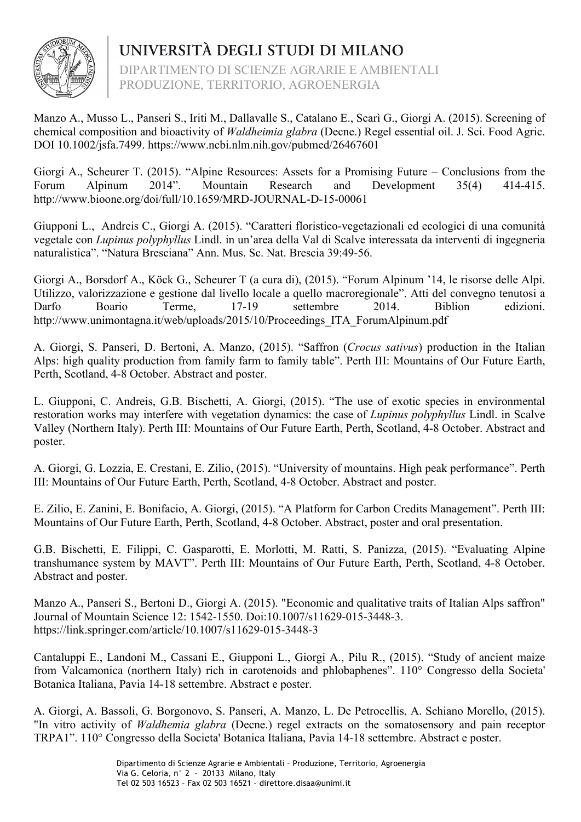

DIPARTIMENTO DI SCIENZE AGRARIE E AMBIENTALI PRODUZIONE, TERRITORIO, AGROENERGIA

Manzo A., Musso L., Panseri S., Iriti M., Dallavalle S., Catalano E., Scarì G., Giorgi A. (2015). Screening of chemical composition and bioactivity of *Waldheimia glabra* (Decne.) Regel essential oil. J. Sci. Food Agric. DOI 10.1002/jsfa.7499. https://www.ncbi.nlm.nih.gov/pubmed/26467601

Giorgi A., Scheurer T. (2015). "Alpine Resources: Assets for a Promising Future – Conclusions from the Forum Alpinum 2014". Mountain Research and Development 35(4) 414-415. http://www.bioone.org/doi/full/10.1659/MRD-JOURNAL-D-15-00061

Giupponi L., Andreis C., Giorgi A. (2015). "Caratteri floristico-vegetazionali ed ecologici di una comunità vegetale con *Lupinus polyphyllus* Lindl. in un'area della Val di Scalve interessata da interventi di ingegneria naturalistica". "Natura Bresciana" Ann. Mus. Sc. Nat. Brescia 39:49-56.

Giorgi A., Borsdorf A., Köck G., Scheurer T (a cura di), (2015). "Forum Alpinum '14, le risorse delle Alpi. Utilizzo, valorizzazione e gestione dal livello locale a quello macroregionale". Atti del convegno tenutosi a Darfo Boario Terme, 17-19 settembre 2014. Biblion edizioni. http://www.unimontagna.it/web/uploads/2015/10/Proceedings\_ITA\_ForumAlpinum.pdf

A. Giorgi, S. Panseri, D. Bertoni, A. Manzo, (2015). "Saffron (*Crocus sativus*) production in the Italian Alps: high quality production from family farm to family table". Perth III: Mountains of Our Future Earth, Perth, Scotland, 4-8 October. Abstract and poster.

L. Giupponi, C. Andreis, G.B. Bischetti, A. Giorgi, (2015). "The use of exotic species in environmental restoration works may interfere with vegetation dynamics: the case of *Lupinus polyphyllus* Lindl. in Scalve Valley (Northern Italy). Perth III: Mountains of Our Future Earth, Perth, Scotland, 4-8 October. Abstract and poster.

A. Giorgi, G. Lozzia, E. Crestani, E. Zilio, (2015). "University of mountains. High peak performance". Perth III: Mountains of Our Future Earth, Perth, Scotland, 4-8 October. Abstract and poster.

E. Zilio, E. Zanini, E. Bonifacio, A. Giorgi, (2015). "A Platform for Carbon Credits Management". Perth III: Mountains of Our Future Earth, Perth, Scotland, 4-8 October. Abstract, poster and oral presentation.

G.B. Bischetti, E. Filippi, C. Gasparotti, E. Morlotti, M. Ratti, S. Panizza, (2015). "Evaluating Alpine transhumance system by MAVT". Perth III: Mountains of Our Future Earth, Perth, Scotland, 4-8 October. Abstract and poster.

Manzo A., Panseri S., Bertoni D., Giorgi A. (2015). "Economic and qualitative traits of Italian Alps saffron" Journal of Mountain Science 12: 1542-1550. Doi:10.1007/s11629-015-3448-3. https://link.springer.com/article/10.1007/s11629-015-3448-3

Cantaluppi E., Landoni M., Cassani E., Giupponi L., Giorgi A., Pilu R., (2015). "Study of ancient maize from Valcamonica (northern Italy) rich in carotenoids and phlobaphenes". 110° Congresso della Societa' Botanica Italiana, Pavia 14-18 settembre. Abstract e poster.

A. Giorgi, A. Bassoli, G. Borgonovo, S. Panseri, A. Manzo, L. De Petrocellis, A. Schiano Morello, (2015). "In vitro activity of *Waldhemia glabra* (Decne.) regel extracts on the somatosensory and pain receptor TRPA1". 110° Congresso della Societa' Botanica Italiana, Pavia 14-18 settembre. Abstract e poster.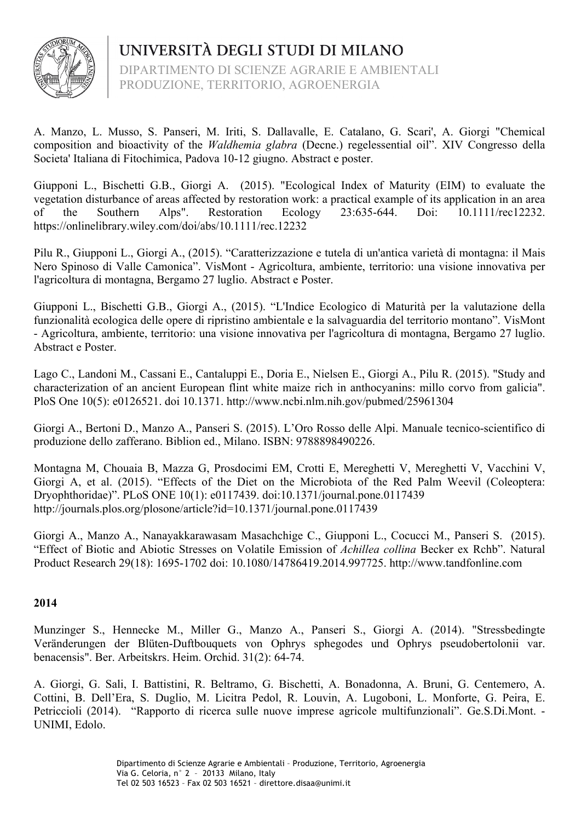

DIPARTIMENTO DI SCIENZE AGRARIE E AMBIENTALI PRODUZIONE, TERRITORIO, AGROENERGIA

A. Manzo, L. Musso, S. Panseri, M. Iriti, S. Dallavalle, E. Catalano, G. Scari', A. Giorgi "Chemical composition and bioactivity of the *Waldhemia glabra* (Decne.) regelessential oil". XIV Congresso della Societa' Italiana di Fitochimica, Padova 10-12 giugno. Abstract e poster.

Giupponi L., Bischetti G.B., Giorgi A. (2015). "Ecological Index of Maturity (EIM) to evaluate the vegetation disturbance of areas affected by restoration work: a practical example of its application in an area of the Southern Alps". Restoration Ecology 23:635-644. Doi: 10.1111/rec12232. https://onlinelibrary.wiley.com/doi/abs/10.1111/rec.12232

Pilu R., Giupponi L., Giorgi A., (2015). "Caratterizzazione e tutela di un'antica varietà di montagna: il Mais Nero Spinoso di Valle Camonica". VisMont - Agricoltura, ambiente, territorio: una visione innovativa per l'agricoltura di montagna, Bergamo 27 luglio. Abstract e Poster.

Giupponi L., Bischetti G.B., Giorgi A., (2015). "L'Indice Ecologico di Maturità per la valutazione della funzionalità ecologica delle opere di ripristino ambientale e la salvaguardia del territorio montano". VisMont - Agricoltura, ambiente, territorio: una visione innovativa per l'agricoltura di montagna, Bergamo 27 luglio. Abstract e Poster.

Lago C., Landoni M., Cassani E., Cantaluppi E., Doria E., Nielsen E., Giorgi A., Pilu R. (2015). "Study and characterization of an ancient European flint white maize rich in anthocyanins: millo corvo from galicia". PloS One 10(5): e0126521. doi 10.1371. http://www.ncbi.nlm.nih.gov/pubmed/25961304

Giorgi A., Bertoni D., Manzo A., Panseri S. (2015). L'Oro Rosso delle Alpi. Manuale tecnico-scientifico di produzione dello zafferano. Biblion ed., Milano. ISBN: 9788898490226.

Montagna M, Chouaia B, Mazza G, Prosdocimi EM, Crotti E, Mereghetti V, Mereghetti V, Vacchini V, Giorgi A, et al. (2015). "Effects of the Diet on the Microbiota of the Red Palm Weevil (Coleoptera: Dryophthoridae)". PLoS ONE 10(1): e0117439. doi:10.1371/journal.pone.0117439 http://journals.plos.org/plosone/article?id=10.1371/journal.pone.0117439

Giorgi A., Manzo A., Nanayakkarawasam Masachchige C., Giupponi L., Cocucci M., Panseri S. (2015). "Effect of Biotic and Abiotic Stresses on Volatile Emission of *Achillea collina* Becker ex Rchb". Natural Product Research 29(18): 1695-1702 doi: 10.1080/14786419.2014.997725. http://www.tandfonline.com

## **2014**

Munzinger S., Hennecke M., Miller G., Manzo A., Panseri S., Giorgi A. (2014). "Stressbedingte Veränderungen der Blüten-Duftbouquets von Ophrys sphegodes und Ophrys pseudobertolonii var. benacensis". Ber. Arbeitskrs. Heim. Orchid. 31(2): 64-74.

A. Giorgi, G. Sali, I. Battistini, R. Beltramo, G. Bischetti, A. Bonadonna, A. Bruni, G. Centemero, A. Cottini, B. Dell'Era, S. Duglio, M. Licitra Pedol, R. Louvin, A. Lugoboni, L. Monforte, G. Peira, E. Petriccioli (2014). "Rapporto di ricerca sulle nuove imprese agricole multifunzionali". Ge.S.Di.Mont. - UNIMI, Edolo.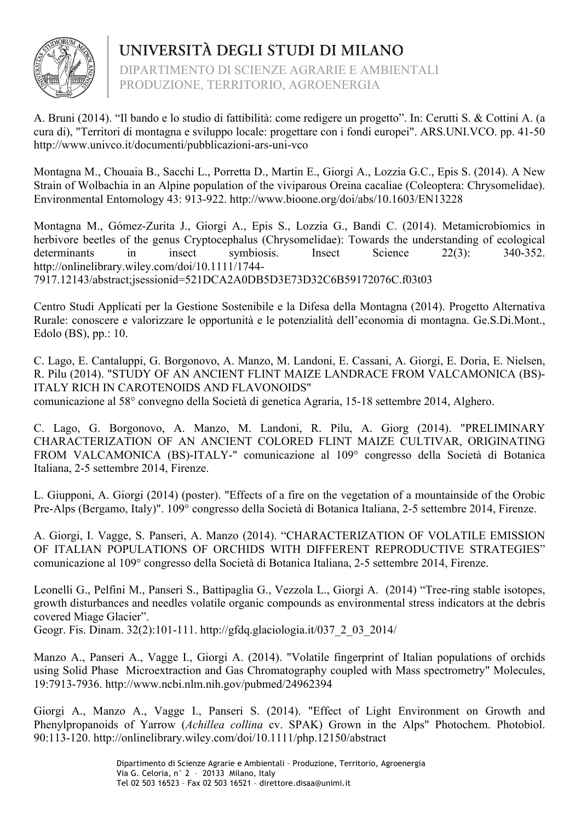

DIPARTIMENTO DI SCIENZE AGRARIE E AMBIENTALI PRODUZIONE, TERRITORIO, AGROENERGIA

A. Bruni (2014). "Il bando e lo studio di fattibilità: come redigere un progetto". In: Cerutti S. & Cottini A. (a cura di), "Territori di montagna e sviluppo locale: progettare con i fondi europei". ARS.UNI.VCO. pp. 41-50 http://www.univco.it/documenti/pubblicazioni-ars-uni-vco

Montagna M., Chouaia B., Sacchi L., Porretta D., Martin E., Giorgi A., Lozzia G.C., Epis S. (2014). A New Strain of Wolbachia in an Alpine population of the viviparous Oreina cacaliae (Coleoptera: Chrysomelidae). Environmental Entomology 43: 913-922. http://www.bioone.org/doi/abs/10.1603/EN13228

Montagna M., Gómez-Zurita J., Giorgi A., Epis S., Lozzia G., Bandi C. (2014). Metamicrobiomics in herbivore beetles of the genus Cryptocephalus (Chrysomelidae): Towards the understanding of ecological determinants in insect symbiosis. Insect Science 22(3): 340-352. http://onlinelibrary.wiley.com/doi/10.1111/1744- 7917.12143/abstract;jsessionid=521DCA2A0DB5D3E73D32C6B59172076C.f03t03

Centro Studi Applicati per la Gestione Sostenibile e la Difesa della Montagna (2014). Progetto Alternativa Rurale: conoscere e valorizzare le opportunità e le potenzialità dell'economia di montagna. Ge.S.Di.Mont., Edolo (BS), pp.: 10.

C. Lago, E. Cantaluppi, G. Borgonovo, A. Manzo, M. Landoni, E. Cassani, A. Giorgi, E. Doria, E. Nielsen, R. Pilu (2014). "STUDY OF AN ANCIENT FLINT MAIZE LANDRACE FROM VALCAMONICA (BS)- ITALY RICH IN CAROTENOIDS AND FLAVONOIDS" comunicazione al 58° convegno della Società di genetica Agraria, 15-18 settembre 2014, Alghero.

C. Lago, G. Borgonovo, A. Manzo, M. Landoni, R. Pilu, A. Giorg (2014). "PRELIMINARY CHARACTERIZATION OF AN ANCIENT COLORED FLINT MAIZE CULTIVAR, ORIGINATING FROM VALCAMONICA (BS)-ITALY-" comunicazione al 109° congresso della Società di Botanica Italiana, 2-5 settembre 2014, Firenze.

L. Giupponi, A. Giorgi (2014) (poster). "Effects of a fire on the vegetation of a mountainside of the Orobic Pre-Alps (Bergamo, Italy)". 109° congresso della Società di Botanica Italiana, 2-5 settembre 2014, Firenze.

A. Giorgi, I. Vagge, S. Panseri, A. Manzo (2014). "CHARACTERIZATION OF VOLATILE EMISSION OF ITALIAN POPULATIONS OF ORCHIDS WITH DIFFERENT REPRODUCTIVE STRATEGIES" comunicazione al 109° congresso della Società di Botanica Italiana, 2-5 settembre 2014, Firenze.

Leonelli G., Pelfini M., Panseri S., Battipaglia G., Vezzola L., Giorgi A. (2014) "Tree-ring stable isotopes, growth disturbances and needles volatile organic compounds as environmental stress indicators at the debris covered Miage Glacier". Geogr. Fis. Dinam. 32(2):101-111. http://gfdq.glaciologia.it/037\_2\_03\_2014/

Manzo A., Panseri A., Vagge I., Giorgi A. (2014). "Volatile fingerprint of Italian populations of orchids using Solid Phase Microextraction and Gas Chromatography coupled with Mass spectrometry" Molecules, 19:7913-7936. http://www.ncbi.nlm.nih.gov/pubmed/24962394

Giorgi A., Manzo A., Vagge I., Panseri S. (2014). "Effect of Light Environment on Growth and Phenylpropanoids of Yarrow (*Achillea collina* cv. SPAK) Grown in the Alps" Photochem. Photobiol. 90:113-120. http://onlinelibrary.wiley.com/doi/10.1111/php.12150/abstract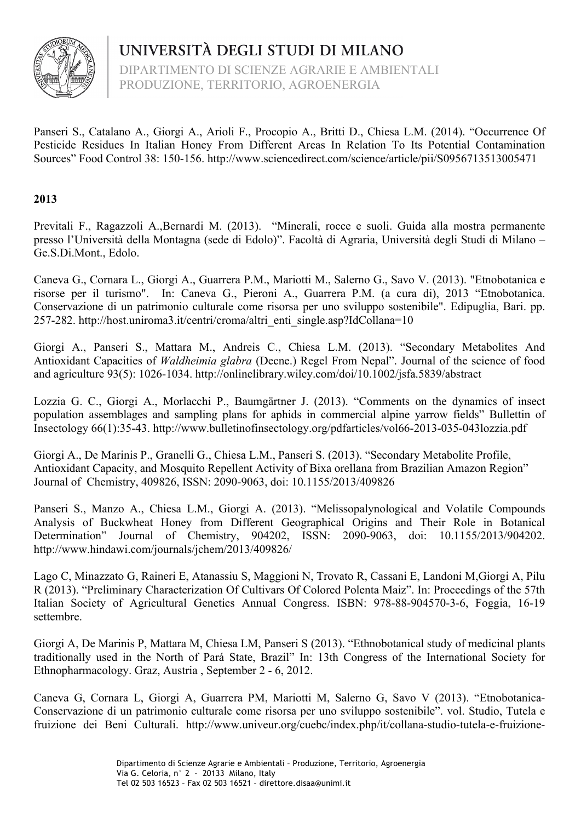

DIPARTIMENTO DI SCIENZE AGRARIE E AMBIENTALI PRODUZIONE, TERRITORIO, AGROENERGIA

Panseri S., Catalano A., Giorgi A., Arioli F., Procopio A., Britti D., Chiesa L.M. (2014). "Occurrence Of Pesticide Residues In Italian Honey From Different Areas In Relation To Its Potential Contamination Sources" Food Control 38: 150-156. http://www.sciencedirect.com/science/article/pii/S0956713513005471

## **2013**

Previtali F., Ragazzoli A.,Bernardi M. (2013). "Minerali, rocce e suoli. Guida alla mostra permanente presso l'Università della Montagna (sede di Edolo)". Facoltà di Agraria, Università degli Studi di Milano – Ge.S.Di.Mont., Edolo.

Caneva G., Cornara L., Giorgi A., Guarrera P.M., Mariotti M., Salerno G., Savo V. (2013). "Etnobotanica e risorse per il turismo". In: Caneva G., Pieroni A., Guarrera P.M. (a cura di), 2013 "Etnobotanica. Conservazione di un patrimonio culturale come risorsa per uno sviluppo sostenibile". Edipuglia, Bari. pp. 257-282. http://host.uniroma3.it/centri/croma/altri\_enti\_single.asp?IdCollana=10

Giorgi A., Panseri S., Mattara M., Andreis C., Chiesa L.M. (2013). "Secondary Metabolites And Antioxidant Capacities of *Waldheimia glabra* (Decne.) Regel From Nepal". Journal of the science of food and agriculture 93(5): 1026-1034. http://onlinelibrary.wiley.com/doi/10.1002/jsfa.5839/abstract

Lozzia G. C., Giorgi A., Morlacchi P., Baumgärtner J. (2013). "Comments on the dynamics of insect population assemblages and sampling plans for aphids in commercial alpine yarrow fields" Bullettin of Insectology 66(1):35-43. http://www.bulletinofinsectology.org/pdfarticles/vol66-2013-035-043lozzia.pdf

Giorgi A., De Marinis P., Granelli G., Chiesa L.M., Panseri S. (2013). "Secondary Metabolite Profile, Antioxidant Capacity, and Mosquito Repellent Activity of Bixa orellana from Brazilian Amazon Region" Journal of Chemistry, 409826, ISSN: 2090-9063, doi: 10.1155/2013/409826

Panseri S., Manzo A., Chiesa L.M., Giorgi A. (2013). "Melissopalynological and Volatile Compounds Analysis of Buckwheat Honey from Different Geographical Origins and Their Role in Botanical Determination" Journal of Chemistry, 904202, ISSN: 2090-9063, doi: 10.1155/2013/904202. http://www.hindawi.com/journals/jchem/2013/409826/

Lago C, Minazzato G, Raineri E, Atanassiu S, Maggioni N, Trovato R, Cassani E, Landoni M,Giorgi A, Pilu R (2013). "Preliminary Characterization Of Cultivars Of Colored Polenta Maiz". In: Proceedings of the 57th Italian Society of Agricultural Genetics Annual Congress. ISBN: 978-88-904570-3-6, Foggia, 16-19 settembre.

Giorgi A, De Marinis P, Mattara M, Chiesa LM, Panseri S (2013). "Ethnobotanical study of medicinal plants traditionally used in the North of Pará State, Brazil" In: 13th Congress of the International Society for Ethnopharmacology. Graz, Austria , September 2 - 6, 2012.

Caneva G, Cornara L, Giorgi A, Guarrera PM, Mariotti M, Salerno G, Savo V (2013). "Etnobotanica-Conservazione di un patrimonio culturale come risorsa per uno sviluppo sostenibile". vol. Studio, Tutela e fruizione dei Beni Culturali. http://www.univeur.org/cuebc/index.php/it/collana-studio-tutela-e-fruizione-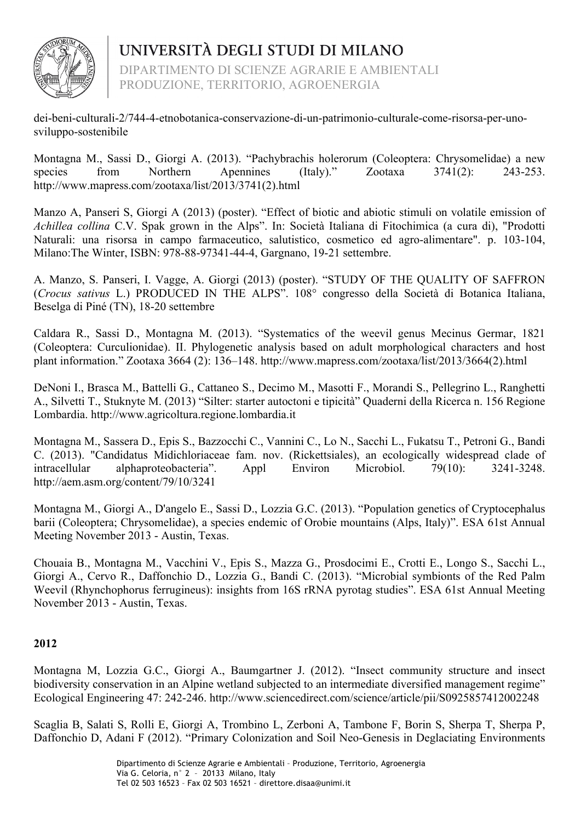

DIPARTIMENTO DI SCIENZE AGRARIE E AMBIENTALI PRODUZIONE, TERRITORIO, AGROENERGIA

dei-beni-culturali-2/744-4-etnobotanica-conservazione-di-un-patrimonio-culturale-come-risorsa-per-unosviluppo-sostenibile

Montagna M., Sassi D., Giorgi A. (2013). "Pachybrachis holerorum (Coleoptera: Chrysomelidae) a new species from Northern Apennines (Italy)." Zootaxa 3741(2): 243-253. http://www.mapress.com/zootaxa/list/2013/3741(2).html

Manzo A, Panseri S, Giorgi A (2013) (poster). "Effect of biotic and abiotic stimuli on volatile emission of *Achillea collina* C.V. Spak grown in the Alps". In: Società Italiana di Fitochimica (a cura di), "Prodotti Naturali: una risorsa in campo farmaceutico, salutistico, cosmetico ed agro-alimentare". p. 103-104, Milano:The Winter, ISBN: 978-88-97341-44-4, Gargnano, 19-21 settembre.

A. Manzo, S. Panseri, I. Vagge, A. Giorgi (2013) (poster). "STUDY OF THE QUALITY OF SAFFRON (*Crocus sativus* L.) PRODUCED IN THE ALPS". 108° congresso della Società di Botanica Italiana, Beselga di Piné (TN), 18-20 settembre

Caldara R., Sassi D., Montagna M. (2013). "Systematics of the weevil genus Mecinus Germar, 1821 (Coleoptera: Curculionidae). II. Phylogenetic analysis based on adult morphological characters and host plant information." Zootaxa 3664 (2): 136–148. http://www.mapress.com/zootaxa/list/2013/3664(2).html

DeNoni I., Brasca M., Battelli G., Cattaneo S., Decimo M., Masotti F., Morandi S., Pellegrino L., Ranghetti A., Silvetti T., Stuknyte M. (2013) "Silter: starter autoctoni e tipicità" Quaderni della Ricerca n. 156 Regione Lombardia. http://www.agricoltura.regione.lombardia.it

Montagna M., Sassera D., Epis S., Bazzocchi C., Vannini C., Lo N., Sacchi L., Fukatsu T., Petroni G., Bandi C. (2013). "Candidatus Midichloriaceae fam. nov. (Rickettsiales), an ecologically widespread clade of intracellular alphaproteobacteria". Appl Environ Microbiol. 79(10): 3241-3248. http://aem.asm.org/content/79/10/3241

Montagna M., Giorgi A., D'angelo E., Sassi D., Lozzia G.C. (2013). "Population genetics of Cryptocephalus barii (Coleoptera; Chrysomelidae), a species endemic of Orobie mountains (Alps, Italy)". ESA 61st Annual Meeting November 2013 - Austin, Texas.

Chouaia B., Montagna M., Vacchini V., Epis S., Mazza G., Prosdocimi E., Crotti E., Longo S., Sacchi L., Giorgi A., Cervo R., Daffonchio D., Lozzia G., Bandi C. (2013). "Microbial symbionts of the Red Palm Weevil (Rhynchophorus ferrugineus): insights from 16S rRNA pyrotag studies". ESA 61st Annual Meeting November 2013 - Austin, Texas.

## **2012**

Montagna M, Lozzia G.C., Giorgi A., Baumgartner J. (2012). "Insect community structure and insect biodiversity conservation in an Alpine wetland subjected to an intermediate diversified management regime" Ecological Engineering 47: 242-246. http://www.sciencedirect.com/science/article/pii/S0925857412002248

Scaglia B, Salati S, Rolli E, Giorgi A, Trombino L, Zerboni A, Tambone F, Borin S, Sherpa T, Sherpa P, Daffonchio D, Adani F (2012). "Primary Colonization and Soil Neo-Genesis in Deglaciating Environments